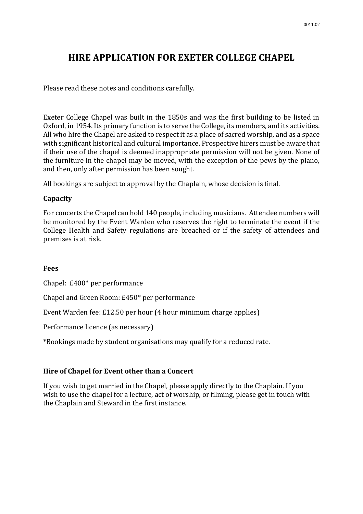# **HIRE APPLICATION FOR EXETER COLLEGE CHAPEL**

Please read these notes and conditions carefully.

Exeter College Chapel was built in the 1850s and was the first building to be listed in Oxford, in 1954. Its primary function is to serve the College, its members, and its activities. All who hire the Chapel are asked to respect it as a place of sacred worship, and as a space with significant historical and cultural importance. Prospective hirers must be aware that if their use of the chapel is deemed inappropriate permission will not be given. None of the furniture in the chapel may be moved, with the exception of the pews by the piano, and then, only after permission has been sought.

All bookings are subject to approval by the Chaplain, whose decision is final.

### **Capacity**

For concerts the Chapel can hold 140 people, including musicians. Attendee numbers will be monitored by the Event Warden who reserves the right to terminate the event if the College Health and Safety regulations are breached or if the safety of attendees and premises is at risk.

#### **Fees**

Chapel: £400\* per performance

Chapel and Green Room: £450\* per performance

Event Warden fee: £12.50 per hour (4 hour minimum charge applies)

Performance licence (as necessary)

\*Bookings made by student organisations may qualify for a reduced rate.

# **Hire of Chapel for Event other than a Concert**

If you wish to get married in the Chapel, please apply directly to the Chaplain. If you wish to use the chapel for a lecture, act of worship, or filming, please get in touch with the Chaplain and Steward in the first instance.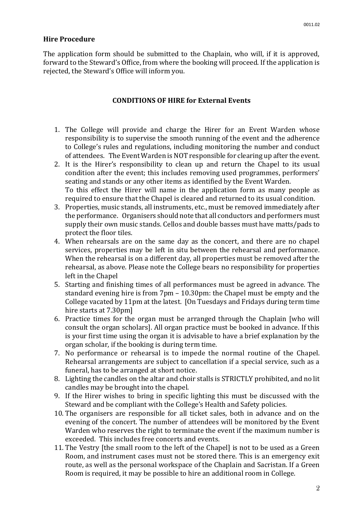### **Hire Procedure**

The application form should be submitted to the Chaplain, who will, if it is approved, forward to the Steward's Office, from where the booking will proceed. If the application is rejected, the Steward's Office will inform you.

## **CONDITIONS OF HIRE for External Events**

- 1. The College will provide and charge the Hirer for an Event Warden whose responsibility is to supervise the smooth running of the event and the adherence to College's rules and regulations, including monitoring the number and conduct of attendees. The Event Warden is NOT responsible for clearing up after the event.
- 2. It is the Hirer's responsibility to clean up and return the Chapel to its usual condition after the event; this includes removing used programmes, performers' seating and stands or any other items as identified by the Event Warden. To this effect the Hirer will name in the application form as many people as required to ensure that the Chapel is cleared and returned to its usual condition.
- 3. Properties, music stands, all instruments, etc., must be removed immediately after the performance. Organisers should note that all conductors and performers must supply their own music stands. Cellos and double basses must have matts/pads to protect the floor tiles.
- 4. When rehearsals are on the same day as the concert, and there are no chapel services, properties may be left in situ between the rehearsal and performance. When the rehearsal is on a different day, all properties must be removed after the rehearsal, as above. Please note the College bears no responsibility for properties left in the Chapel
- 5. Starting and finishing times of all performances must be agreed in advance. The standard evening hire is from 7pm – 10.30pm: the Chapel must be empty and the College vacated by 11pm at the latest. [On Tuesdays and Fridays during term time hire starts at 7.30pm]
- 6. Practice times for the organ must be arranged through the Chaplain [who will consult the organ scholars]. All organ practice must be booked in advance. If this is your first time using the organ it is advisable to have a brief explanation by the organ scholar, if the booking is during term time.
- 7. No performance or rehearsal is to impede the normal routine of the Chapel. Rehearsal arrangements are subject to cancellation if a special service, such as a funeral, has to be arranged at short notice.
- 8. Lighting the candles on the altar and choir stalls is STRICTLY prohibited, and no lit candles may be brought into the chapel.
- 9. If the Hirer wishes to bring in specific lighting this must be discussed with the Steward and be compliant with the College's Health and Safety policies.
- 10. The organisers are responsible for all ticket sales, both in advance and on the evening of the concert. The number of attendees will be monitored by the Event Warden who reserves the right to terminate the event if the maximum number is exceeded. This includes free concerts and events.
- 11. The Vestry [the small room to the left of the Chapel] is not to be used as a Green Room, and instrument cases must not be stored there. This is an emergency exit route, as well as the personal workspace of the Chaplain and Sacristan. If a Green Room is required, it may be possible to hire an additional room in College.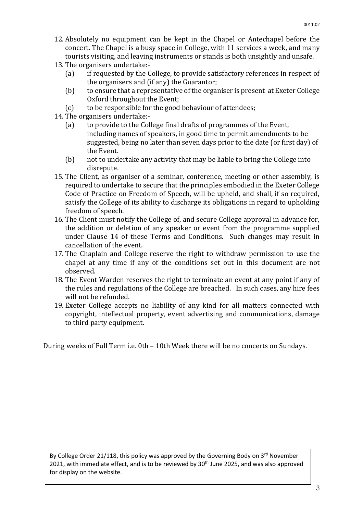- 12. Absolutely no equipment can be kept in the Chapel or Antechapel before the concert. The Chapel is a busy space in College, with 11 services a week, and many tourists visiting, and leaving instruments or stands is both unsightly and unsafe.
- 13. The organisers undertake:-
	- (a) if requested by the College, to provide satisfactory references in respect of the organisers and (if any) the Guarantor;
	- (b) to ensure that a representative of the organiser is present at Exeter College Oxford throughout the Event;
	- (c) to be responsible for the good behaviour of attendees;
- 14. The organisers undertake:-
	- (a) to provide to the College final drafts of programmes of the Event, including names of speakers, in good time to permit amendments to be suggested, being no later than seven days prior to the date (or first day) of the Event.
	- (b) not to undertake any activity that may be liable to bring the College into disrepute.
- 15. The Client, as organiser of a seminar, conference, meeting or other assembly, is required to undertake to secure that the principles embodied in the Exeter College Code of Practice on Freedom of Speech, will be upheld, and shall, if so required, satisfy the College of its ability to discharge its obligations in regard to upholding freedom of speech.
- 16. The Client must notify the College of, and secure College approval in advance for, the addition or deletion of any speaker or event from the programme supplied under Clause 14 of these Terms and Conditions. Such changes may result in cancellation of the event.
- 17. The Chaplain and College reserve the right to withdraw permission to use the chapel at any time if any of the conditions set out in this document are not observed.
- 18. The Event Warden reserves the right to terminate an event at any point if any of the rules and regulations of the College are breached. In such cases, any hire fees will not be refunded.
- 19. Exeter College accepts no liability of any kind for all matters connected with copyright, intellectual property, event advertising and communications, damage to third party equipment.

During weeks of Full Term i.e. 0th – 10th Week there will be no concerts on Sundays.

By College Order 21/118, this policy was approved by the Governing Body on  $3^{rd}$  November 2021, with immediate effect, and is to be reviewed by 30<sup>th</sup> June 2025, and was also approved for display on the website.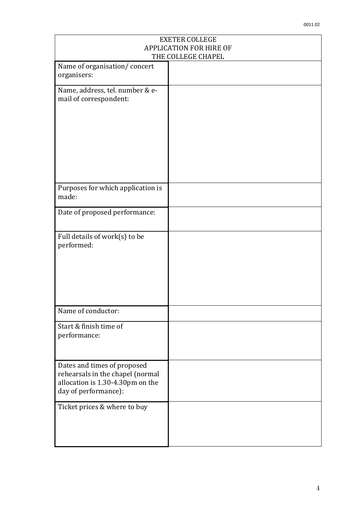| <b>EXETER COLLEGE</b><br><b>APPLICATION FOR HIRE OF</b>                                                                     |  |
|-----------------------------------------------------------------------------------------------------------------------------|--|
| THE COLLEGE CHAPEL                                                                                                          |  |
| Name of organisation/concert<br>organisers:                                                                                 |  |
| Name, address, tel. number & e-<br>mail of correspondent:                                                                   |  |
| Purposes for which application is<br>made:                                                                                  |  |
| Date of proposed performance:                                                                                               |  |
| Full details of work(s) to be<br>performed:                                                                                 |  |
| Name of conductor:                                                                                                          |  |
| Start & finish time of<br>performance:                                                                                      |  |
| Dates and times of proposed<br>rehearsals in the chapel (normal<br>allocation is 1.30-4.30pm on the<br>day of performance): |  |
| Ticket prices & where to buy                                                                                                |  |